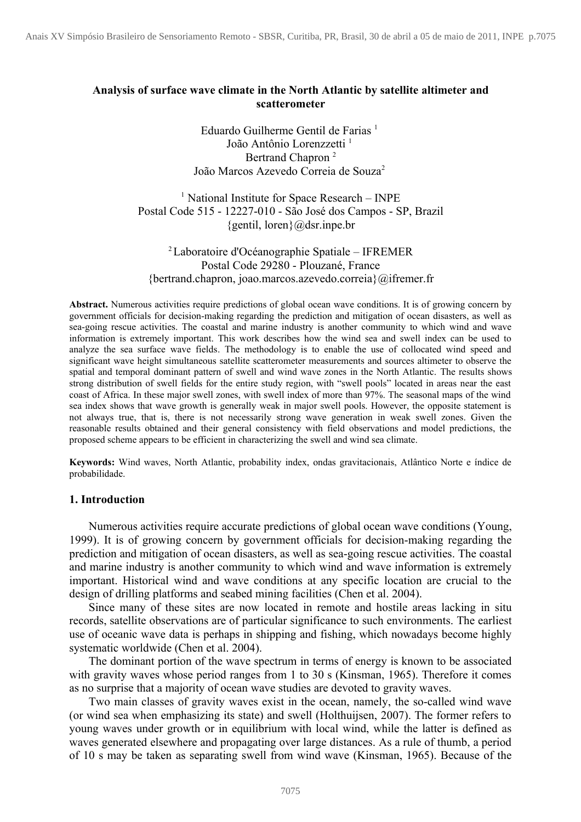## **Analysis of surface wave climate in the North Atlantic by satellite altimeter and scatterometer**

Eduardo Guilherme Gentil de Farias<sup>1</sup> João Antônio Lorenzzetti<sup>1</sup> Bertrand Chapron<sup>2</sup> João Marcos Azevedo Correia de Souza<sup>2</sup>

<sup>1</sup> National Institute for Space Research – INPE Postal Code 515 - 12227-010 - São José dos Campos - SP, Brazil  ${gentil, loren}$  $@dsr.$ inpe.br

# <sup>2</sup>Laboratoire d'Océanographie Spatiale – IFREMER Postal Code 29280 - Plouzané, France {bertrand.chapron, joao.marcos.azevedo.correia}@ifremer.fr

**Abstract.** Numerous activities require predictions of global ocean wave conditions. It is of growing concern by government officials for decision-making regarding the prediction and mitigation of ocean disasters, as well as sea-going rescue activities. The coastal and marine industry is another community to which wind and wave information is extremely important. This work describes how the wind sea and swell index can be used to analyze the sea surface wave fields. The methodology is to enable the use of collocated wind speed and significant wave height simultaneous satellite scatterometer measurements and sources altimeter to observe the spatial and temporal dominant pattern of swell and wind wave zones in the North Atlantic. The results shows strong distribution of swell fields for the entire study region, with "swell pools" located in areas near the east coast of Africa. In these major swell zones, with swell index of more than 97%. The seasonal maps of the wind sea index shows that wave growth is generally weak in major swell pools. However, the opposite statement is not always true, that is, there is not necessarily strong wave generation in weak swell zones. Given the reasonable results obtained and their general consistency with field observations and model predictions, the proposed scheme appears to be efficient in characterizing the swell and wind sea climate.

**Keywords:** Wind waves, North Atlantic, probability index, ondas gravitacionais, Atlântico Norte e índice de probabilidade.

### **1. Introduction**

Numerous activities require accurate predictions of global ocean wave conditions (Young, 1999). It is of growing concern by government officials for decision-making regarding the prediction and mitigation of ocean disasters, as well as sea-going rescue activities. The coastal and marine industry is another community to which wind and wave information is extremely important. Historical wind and wave conditions at any specific location are crucial to the design of drilling platforms and seabed mining facilities (Chen et al. 2004).

Since many of these sites are now located in remote and hostile areas lacking in situ records, satellite observations are of particular significance to such environments. The earliest use of oceanic wave data is perhaps in shipping and fishing, which nowadays become highly systematic worldwide (Chen et al. 2004).

The dominant portion of the wave spectrum in terms of energy is known to be associated with gravity waves whose period ranges from 1 to 30 s (Kinsman, 1965). Therefore it comes as no surprise that a majority of ocean wave studies are devoted to gravity waves.

Two main classes of gravity waves exist in the ocean, namely, the so-called wind wave (or wind sea when emphasizing its state) and swell (Holthuijsen, 2007). The former refers to young waves under growth or in equilibrium with local wind, while the latter is defined as waves generated elsewhere and propagating over large distances. As a rule of thumb, a period of 10 s may be taken as separating swell from wind wave (Kinsman, 1965). Because of the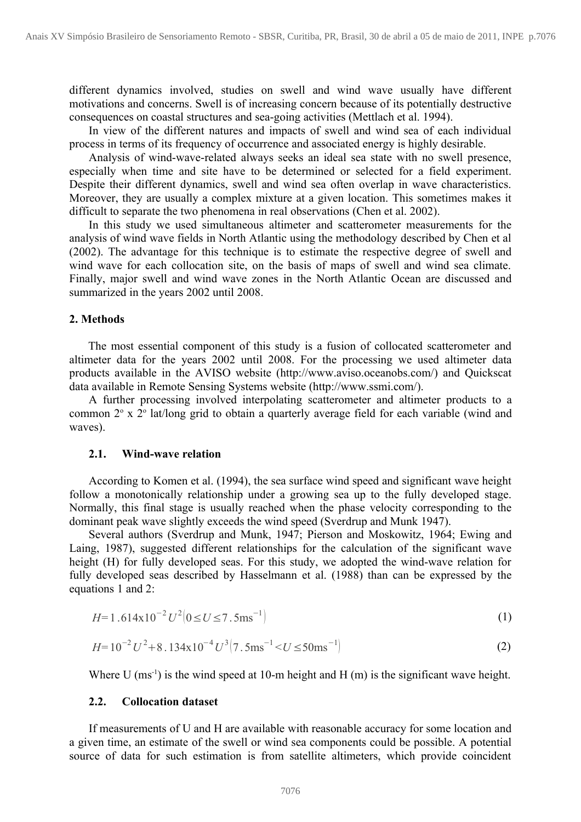different dynamics involved, studies on swell and wind wave usually have different motivations and concerns. Swell is of increasing concern because of its potentially destructive consequences on coastal structures and sea-going activities (Mettlach et al. 1994).

In view of the different natures and impacts of swell and wind sea of each individual process in terms of its frequency of occurrence and associated energy is highly desirable.

Analysis of wind-wave-related always seeks an ideal sea state with no swell presence, especially when time and site have to be determined or selected for a field experiment. Despite their different dynamics, swell and wind sea often overlap in wave characteristics. Moreover, they are usually a complex mixture at a given location. This sometimes makes it difficult to separate the two phenomena in real observations (Chen et al. 2002).

In this study we used simultaneous altimeter and scatterometer measurements for the analysis of wind wave fields in North Atlantic using the methodology described by Chen et al (2002). The advantage for this technique is to estimate the respective degree of swell and wind wave for each collocation site, on the basis of maps of swell and wind sea climate. Finally, major swell and wind wave zones in the North Atlantic Ocean are discussed and summarized in the years 2002 until 2008.

## **2. Methods**

The most essential component of this study is a fusion of collocated scatterometer and altimeter data for the years 2002 until 2008. For the processing we used altimeter data products available in the AVISO website (http://www.aviso.oceanobs.com/) and Quickscat data available in Remote Sensing Systems website (http://www.ssmi.com/).

A further processing involved interpolating scatterometer and altimeter products to a common 2° x 2° lat/long grid to obtain a quarterly average field for each variable (wind and waves).

## **2.1. Wind-wave relation**

According to Komen et al. (1994), the sea surface wind speed and significant wave height follow a monotonically relationship under a growing sea up to the fully developed stage. Normally, this final stage is usually reached when the phase velocity corresponding to the dominant peak wave slightly exceeds the wind speed (Sverdrup and Munk 1947).

Several authors (Sverdrup and Munk, 1947; Pierson and Moskowitz, 1964; Ewing and Laing, 1987), suggested different relationships for the calculation of the significant wave height (H) for fully developed seas. For this study, we adopted the wind-wave relation for fully developed seas described by Hasselmann et al. (1988) than can be expressed by the equations 1 and 2:

$$
H=1.614 \times 10^{-2} U^2 (0 \le U \le 7.5 \text{ms}^{-1})
$$
 (1)

$$
H = 10^{-2} U^2 + 8.134 \times 10^{-4} U^3 (7.5 \text{ms}^{-1} < U \le 50 \text{ms}^{-1})
$$
 (2)

Where U  $(ms^{-1})$  is the wind speed at 10-m height and H  $(m)$  is the significant wave height.

#### **2.2. Collocation dataset**

If measurements of U and H are available with reasonable accuracy for some location and a given time, an estimate of the swell or wind sea components could be possible. A potential source of data for such estimation is from satellite altimeters, which provide coincident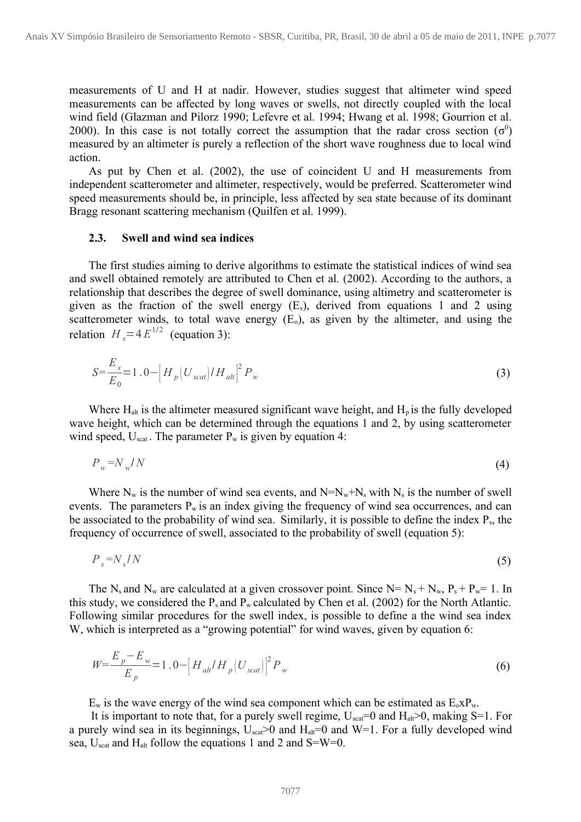measurements of U and H at nadir. However, studies suggest that altimeter wind speed measurements can be affected by long waves or swells, not directly coupled with the local wind field (Glazman and Pilorz 1990; Lefevre et al. 1994; Hwang et al. 1998; Gourrion et al. 2000). In this case is not totally correct the assumption that the radar cross section  $(\sigma^0)$ measured by an altimeter is purely a reflection of the short wave roughness due to local wind action.

As put by Chen et al. (2002), the use of coincident U and H measurements from independent scatterometer and altimeter, respectively, would be preferred. Scatterometer wind speed measurements should be, in principle, less affected by sea state because of its dominant Bragg resonant scattering mechanism (Quilfen et al. 1999).

### **2.3. Swell and wind sea indices**

The first studies aiming to derive algorithms to estimate the statistical indices of wind sea and swell obtained remotely are attributed to Chen et al. (2002). According to the authors, a relationship that describes the degree of swell dominance, using altimetry and scatterometer is given as the fraction of the swell energy  $(E_s)$ , derived from equations 1 and 2 using scatterometer winds, to total wave energy  $(E_0)$ , as given by the altimeter, and using the relation  $H_s = 4E^{1/2}$  (equation 3):

$$
S = \frac{E_s}{E_0} = 1.0 - \left[ H_p \left( U_{scat} \right) / H_{alt} \right]^2 P_w \tag{3}
$$

Where  $H_{alt}$  is the altimeter measured significant wave height, and  $H_p$  is the fully developed wave height, which can be determined through the equations 1 and 2, by using scatterometer wind speed,  $U_{scat}$ . The parameter  $P_w$  is given by equation 4:

$$
P_w = N_w / N \tag{4}
$$

Where  $N_w$  is the number of wind sea events, and  $N=N_w+N_s$  with  $N_s$  is the number of swell events. The parameters  $P_w$  is an index giving the frequency of wind sea occurrences, and can be associated to the probability of wind sea. Similarly, it is possible to define the index P<sub>s</sub>, the frequency of occurrence of swell, associated to the probability of swell (equation 5):

$$
P_s = N_s / N \tag{5}
$$

The N<sub>s</sub> and N<sub>w</sub> are calculated at a given crossover point. Since N=  $N_s + N_w$ ,  $P_s + P_w = 1$ . In this study, we considered the  $P_s$  and  $P_w$  calculated by Chen et al. (2002) for the North Atlantic. Following similar procedures for the swell index, is possible to define a the wind sea index W, which is interpreted as a "growing potential" for wind waves, given by equation 6:

$$
W = \frac{E_p - E_w}{E_p} = 1.0 - \left[ H_{\text{alt}} / H_p \left( U_{\text{scat}} \right) \right]^2 P_w \tag{6}
$$

 $E_w$  is the wave energy of the wind sea component which can be estimated as  $E_0 x P_w$ .

It is important to note that, for a purely swell regime,  $U_{\text{scat}}=0$  and  $H_{\text{alt}} > 0$ , making S=1. For a purely wind sea in its beginnings,  $U_{\text{scat}} > 0$  and  $H_{\text{alt}} = 0$  and W=1. For a fully developed wind sea,  $U_{\text{scat}}$  and  $H_{\text{alt}}$  follow the equations 1 and 2 and S=W=0.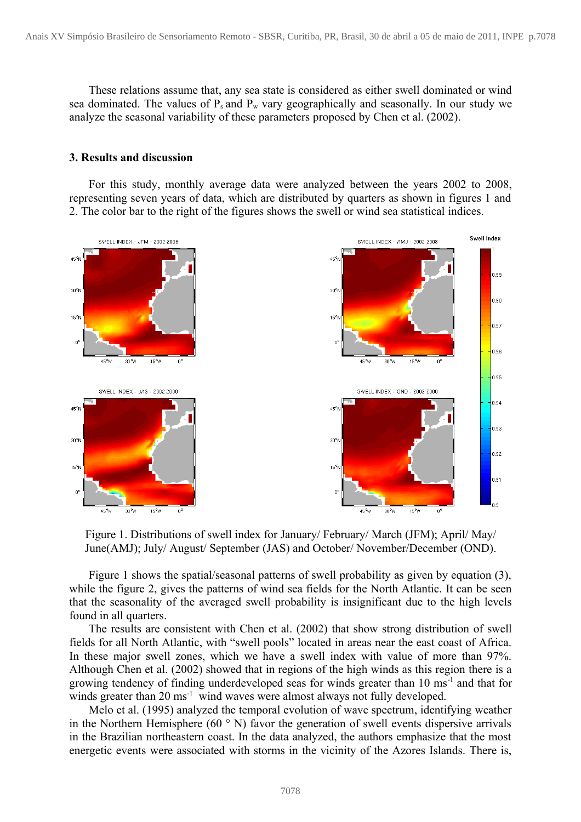These relations assume that, any sea state is considered as either swell dominated or wind sea dominated. The values of  $P_s$  and  $P_w$  vary geographically and seasonally. In our study we analyze the seasonal variability of these parameters proposed by Chen et al. (2002).

#### **3. Results and discussion**

For this study, monthly average data were analyzed between the years 2002 to 2008, representing seven years of data, which are distributed by quarters as shown in figures 1 and 2. The color bar to the right of the figures shows the swell or wind sea statistical indices.



Figure 1. Distributions of swell index for January/ February/ March (JFM); April/ May/ June(AMJ); July/ August/ September (JAS) and October/ November/December (OND).

Figure 1 shows the spatial/seasonal patterns of swell probability as given by equation (3), while the figure 2, gives the patterns of wind sea fields for the North Atlantic. It can be seen that the seasonality of the averaged swell probability is insignificant due to the high levels found in all quarters.

The results are consistent with Chen et al. (2002) that show strong distribution of swell fields for all North Atlantic, with "swell pools" located in areas near the east coast of Africa. In these major swell zones, which we have a swell index with value of more than 97%. Although Chen et al. (2002) showed that in regions of the high winds as this region there is a growing tendency of finding underdeveloped seas for winds greater than 10 ms<sup>-1</sup> and that for winds greater than 20 ms<sup>-1</sup> wind waves were almost always not fully developed.

Melo et al. (1995) analyzed the temporal evolution of wave spectrum, identifying weather in the Northern Hemisphere (60 $\degree$  N) favor the generation of swell events dispersive arrivals in the Brazilian northeastern coast. In the data analyzed, the authors emphasize that the most energetic events were associated with storms in the vicinity of the Azores Islands. There is,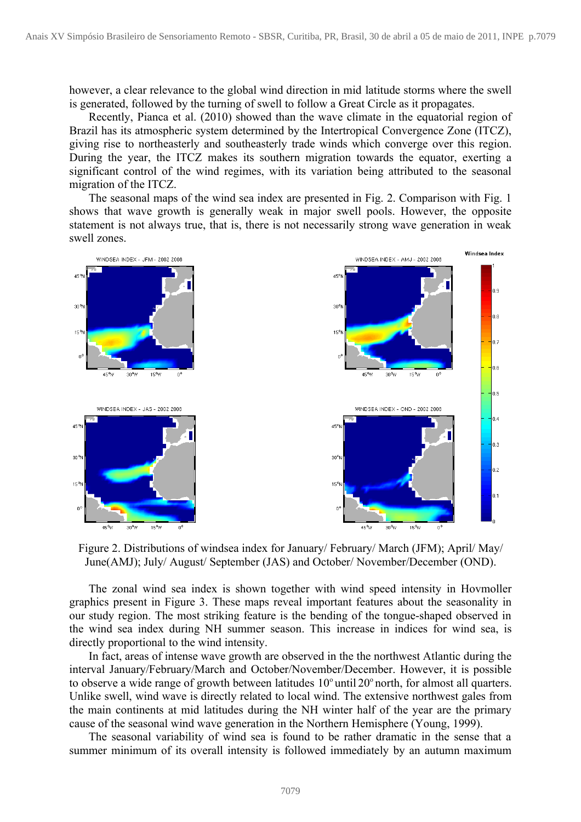however, a clear relevance to the global wind direction in mid latitude storms where the swell is generated, followed by the turning of swell to follow a Great Circle as it propagates.

Recently, Pianca et al. (2010) showed than the wave climate in the equatorial region of Brazil has its atmospheric system determined by the Intertropical Convergence Zone (ITCZ), giving rise to northeasterly and southeasterly trade winds which converge over this region. During the year, the ITCZ makes its southern migration towards the equator, exerting a significant control of the wind regimes, with its variation being attributed to the seasonal migration of the ITCZ.

The seasonal maps of the wind sea index are presented in Fig. 2. Comparison with Fig. 1 shows that wave growth is generally weak in major swell pools. However, the opposite statement is not always true, that is, there is not necessarily strong wave generation in weak swell zones.



Figure 2. Distributions of windsea index for January/ February/ March (JFM); April/ May/ June(AMJ); July/ August/ September (JAS) and October/ November/December (OND).

The zonal wind sea index is shown together with wind speed intensity in Hovmoller graphics present in Figure 3. These maps reveal important features about the seasonality in our study region. The most striking feature is the bending of the tongue-shaped observed in the wind sea index during NH summer season. This increase in indices for wind sea, is directly proportional to the wind intensity.

In fact, areas of intense wave growth are observed in the the northwest Atlantic during the interval January/February/March and October/November/December. However, it is possible to observe a wide range of growth between latitudes  $10^{\circ}$  until  $20^{\circ}$  north, for almost all quarters. Unlike swell, wind wave is directly related to local wind. The extensive northwest gales from the main continents at mid latitudes during the NH winter half of the year are the primary cause of the seasonal wind wave generation in the Northern Hemisphere (Young, 1999).

The seasonal variability of wind sea is found to be rather dramatic in the sense that a summer minimum of its overall intensity is followed immediately by an autumn maximum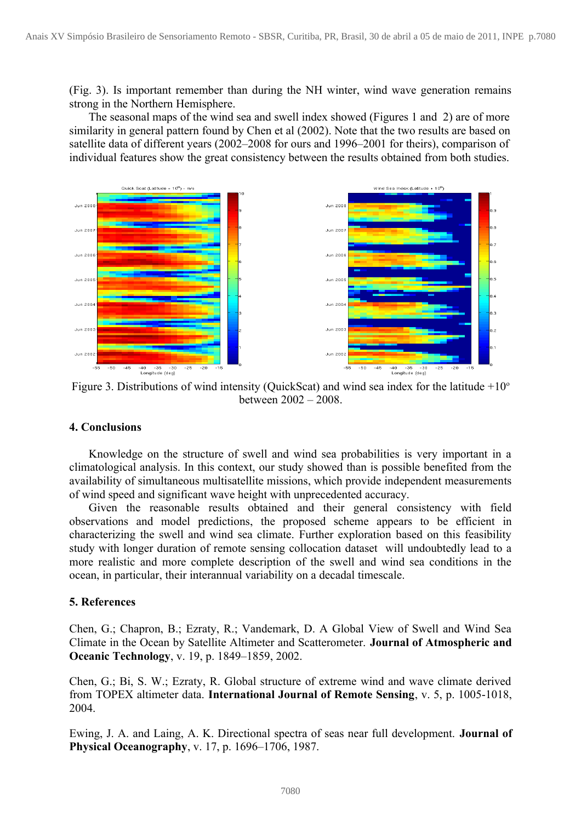(Fig. 3). Is important remember than during the NH winter, wind wave generation remains strong in the Northern Hemisphere.

The seasonal maps of the wind sea and swell index showed (Figures 1 and 2) are of more similarity in general pattern found by Chen et al (2002). Note that the two results are based on satellite data of different years (2002–2008 for ours and 1996–2001 for theirs), comparison of individual features show the great consistency between the results obtained from both studies.



Figure 3. Distributions of wind intensity (QuickScat) and wind sea index for the latitude  $+10^{\circ}$ between 2002 – 2008.

## **4. Conclusions**

Knowledge on the structure of swell and wind sea probabilities is very important in a climatological analysis. In this context, our study showed than is possible benefited from the availability of simultaneous multisatellite missions, which provide independent measurements of wind speed and significant wave height with unprecedented accuracy.

Given the reasonable results obtained and their general consistency with field observations and model predictions, the proposed scheme appears to be efficient in characterizing the swell and wind sea climate. Further exploration based on this feasibility study with longer duration of remote sensing collocation dataset will undoubtedly lead to a more realistic and more complete description of the swell and wind sea conditions in the ocean, in particular, their interannual variability on a decadal timescale.

### **5. References**

Chen, G.; Chapron, B.; Ezraty, R.; Vandemark, D. A Global View of Swell and Wind Sea Climate in the Ocean by Satellite Altimeter and Scatterometer. **Journal of Atmospheric and Oceanic Technology**, v. 19, p. 1849–1859, 2002.

Chen, G.; Bi, S. W.; Ezraty, R. Global structure of extreme wind and wave climate derived from TOPEX altimeter data. **International Journal of Remote Sensing**, v. 5, p. 1005-1018, 2004.

Ewing, J. A. and Laing, A. K. Directional spectra of seas near full development. **Journal of Physical Oceanography**, v. 17, p. 1696–1706, 1987.